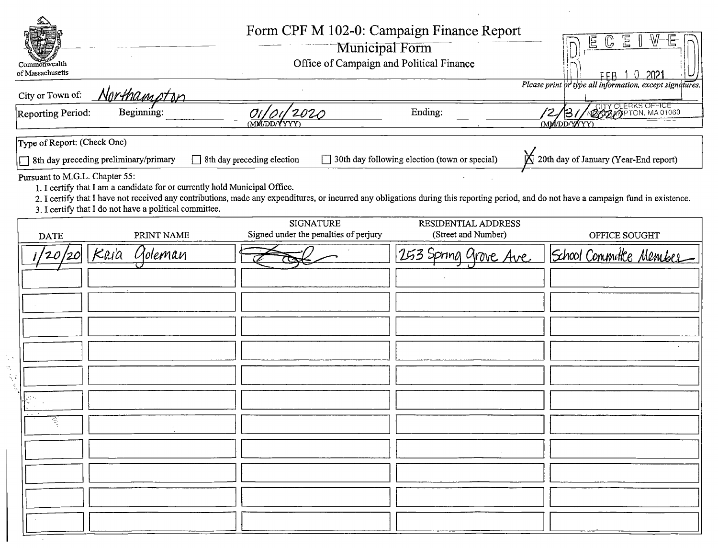|    | Commonwealth<br>of Massachusetts                              |                                                                                                                                      |                                       | Form CPF M 102-0: Campaign Finance Report<br>Municipal Form<br>Office of Campaign and Political Finance | $\mathbb E$<br>G<br>Ε<br>-2021<br>FFR 1<br>Please print or type all information, except signatures.                                                                                     |
|----|---------------------------------------------------------------|--------------------------------------------------------------------------------------------------------------------------------------|---------------------------------------|---------------------------------------------------------------------------------------------------------|-----------------------------------------------------------------------------------------------------------------------------------------------------------------------------------------|
|    | City or Town of:                                              | Northamptor                                                                                                                          |                                       |                                                                                                         |                                                                                                                                                                                         |
|    | Reporting Period:                                             | Beginning:                                                                                                                           | 2020<br><b>MM/DD/YYYY</b>             | Ending:                                                                                                 | ACITY CLERKS OFFICE<br><u>137</u><br>(MM/DD/YYYY)                                                                                                                                       |
|    | Type of Report: (Check One)<br>Pursuant to M.G.L. Chapter 55: | 8th day preceding preliminary/primary                                                                                                | 8th day preceding election            | 30th day following election (town or special)                                                           | 20th day of January (Year-End report)                                                                                                                                                   |
|    |                                                               | 1. I certify that I am a candidate for or currently hold Municipal Office.<br>3. I certify that I do not have a political committee. | <b>SIGNATURE</b>                      | RESIDENTIAL ADDRESS                                                                                     | 2. I certify that I have not received any contributions, made any expenditures, or incurred any obligations during this reporting period, and do not have a campaign fund in existence. |
|    | <b>DATE</b>                                                   | PRINT NAME                                                                                                                           | Signed under the penalties of perjury | (Street and Number)                                                                                     | OFFICE SOUGHT                                                                                                                                                                           |
|    |                                                               | Kaia<br>Goleman                                                                                                                      |                                       | 253 Spring grove Ave                                                                                    | School Committee Member                                                                                                                                                                 |
|    |                                                               |                                                                                                                                      |                                       |                                                                                                         |                                                                                                                                                                                         |
|    |                                                               |                                                                                                                                      |                                       |                                                                                                         |                                                                                                                                                                                         |
|    |                                                               |                                                                                                                                      |                                       |                                                                                                         |                                                                                                                                                                                         |
|    |                                                               |                                                                                                                                      |                                       |                                                                                                         |                                                                                                                                                                                         |
| К, |                                                               |                                                                                                                                      |                                       |                                                                                                         |                                                                                                                                                                                         |
|    |                                                               |                                                                                                                                      |                                       |                                                                                                         |                                                                                                                                                                                         |
|    |                                                               |                                                                                                                                      |                                       |                                                                                                         |                                                                                                                                                                                         |
|    |                                                               |                                                                                                                                      |                                       |                                                                                                         |                                                                                                                                                                                         |
|    |                                                               |                                                                                                                                      |                                       |                                                                                                         |                                                                                                                                                                                         |
|    |                                                               |                                                                                                                                      |                                       |                                                                                                         |                                                                                                                                                                                         |
|    |                                                               |                                                                                                                                      |                                       |                                                                                                         |                                                                                                                                                                                         |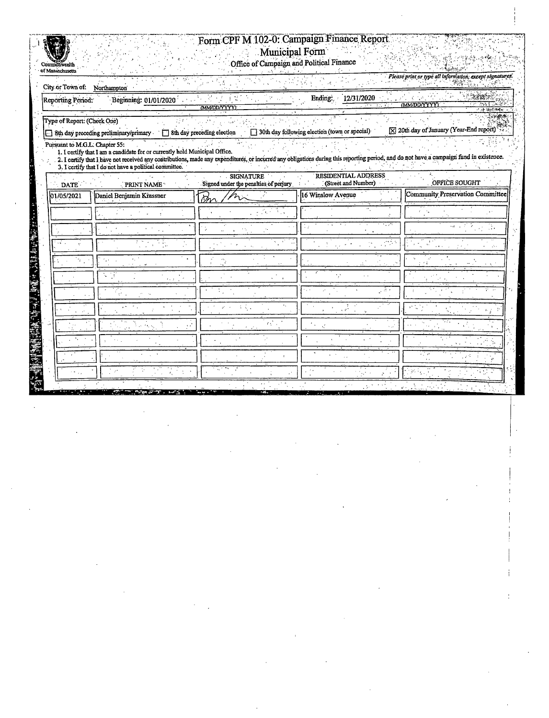## Form CPF M 102-0: Campaign Finance Report Municipal Form

Office of Campaign and Political Finance

excepi

of Massichusetts

Please print or type all inform чĂ 繁荣 Northampton City or Town of: 陽線 宝 12/31/2020 Ending:  $-2.16$ Beginning: 01/01/2020 Reporting Period: **MM/DD/YYYYI** WDDAYYYY Type of Report: (Check One) [X] 20th day of January (Year-End report) 30th day following election (town or special) 8th day preceding preliminary/primary -8th day preceding election Pursuant to M.G.L. Chapter 55: 1. I certify that I am a candidate for or currently hold Municipal Office.<br>2. I certify that I have not received any contributions, made any expenditures, or incurred any obligations during this reporting period, and do no **SIGNATURE** RESIDENTIAL ADDRESS (Street and Number) **OFFICE SOUGHT** Signed under the penalties of perjury PRINT NAME DATE: 16 Winslow Avenue **Community Preservation Committee** 01/05/2021 Daniel Benjamin Krassner Þh 的建设的传统和所示, AVE & APE And WAR HALL ability. ă. J. ÷,  $\ddot{\phantom{a}}$ ň, т, 48 V  $\vec{r}$  :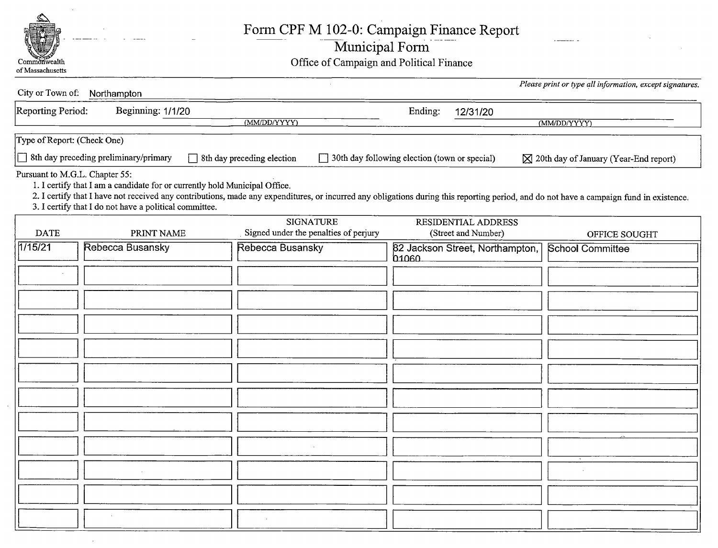

Form CPF M 102-0: Campaign Finance Report

|  | Municipal Form |  |
|--|----------------|--|
|  |                |  |
|  |                |  |
|  |                |  |

Commonwealth Commonwealth Commonwealth Office of Campaign and Political Finance

|                             | City or Town of: Northampton                                                                                                                                           |                                                                                                                                                                                         |                                               | Please print or type all information, except signatures. |
|-----------------------------|------------------------------------------------------------------------------------------------------------------------------------------------------------------------|-----------------------------------------------------------------------------------------------------------------------------------------------------------------------------------------|-----------------------------------------------|----------------------------------------------------------|
| Reporting Period:           | Beginning: 1/1/20                                                                                                                                                      | (MM/DD/YYYY)                                                                                                                                                                            | Ending:<br>12/31/20                           | (MM/DD/YYYY)                                             |
| Type of Report: (Check One) |                                                                                                                                                                        |                                                                                                                                                                                         |                                               |                                                          |
|                             | 8th day preceding preliminary/primary                                                                                                                                  | 8th day preceding election                                                                                                                                                              | 30th day following election (town or special) | $\boxtimes$ 20th day of January (Year-End report)        |
|                             | Pursuant to M.G.L. Chapter 55:<br>1. I certify that I am a candidate for or currently hold Municipal Office.<br>3. I certify that I do not have a political committee. | 2. I certify that I have not received any contributions, made any expenditures, or incurred any obligations during this reporting period, and do not have a campaign fund in existence. |                                               |                                                          |
| <b>DATE</b>                 | PRINT NAME                                                                                                                                                             | <b>SIGNATURE</b><br>Signed under the penalties of perjury                                                                                                                               | RESIDENTIAL ADDRESS<br>(Street and Number)    | OFFICE SOUGHT                                            |
| 1/15/21                     | <b>Rebecca Busansky</b>                                                                                                                                                | <b>Rebecca Busansky</b>                                                                                                                                                                 | 82 Jackson Street, Northampton,<br>01060      | <b>School Committee</b>                                  |
|                             |                                                                                                                                                                        |                                                                                                                                                                                         |                                               |                                                          |
|                             |                                                                                                                                                                        |                                                                                                                                                                                         |                                               |                                                          |
|                             |                                                                                                                                                                        |                                                                                                                                                                                         |                                               |                                                          |
|                             |                                                                                                                                                                        |                                                                                                                                                                                         |                                               |                                                          |
|                             |                                                                                                                                                                        |                                                                                                                                                                                         |                                               |                                                          |
|                             |                                                                                                                                                                        |                                                                                                                                                                                         |                                               |                                                          |
|                             |                                                                                                                                                                        |                                                                                                                                                                                         |                                               |                                                          |
|                             |                                                                                                                                                                        |                                                                                                                                                                                         |                                               |                                                          |
|                             |                                                                                                                                                                        |                                                                                                                                                                                         |                                               |                                                          |
|                             |                                                                                                                                                                        |                                                                                                                                                                                         |                                               |                                                          |
|                             | $\sim$                                                                                                                                                                 |                                                                                                                                                                                         |                                               |                                                          |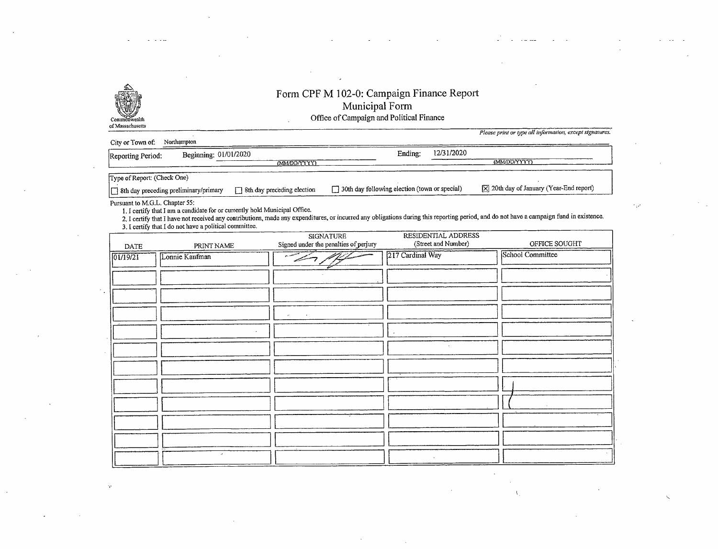

## Form CPF M 102-0: Campaign Finance Report Municipal Form Commonwealth Commonwealth Commonwealth Commonwealth Commonwealth Commonwealth Commonwealth Commonwealth Commonwealth Commonwealth Commonwealth Commonwealth Commonwealth Commonwealth Commonwealth Commonwealth Commonwealth C

of Massachusetts

Please print or type all information, except signatures.

| City or Town of:<br>Northampton       |                             |                                               |                                                        |  |  |  |  |  |
|---------------------------------------|-----------------------------|-----------------------------------------------|--------------------------------------------------------|--|--|--|--|--|
| Reporting Period:                     | Beginning: 01/01/2020       | 12/31/2020<br>Ending:                         |                                                        |  |  |  |  |  |
|                                       | (MM/DD/YYYY)                |                                               | (MM/DD/YYYY)                                           |  |  |  |  |  |
| Type of Report: (Check One)           |                             |                                               |                                                        |  |  |  |  |  |
| Sth day preceding preliminary/primary | 38th day preceding election | 30th day following election (town or special) | $[\overline{X}]$ 20th day of January (Year-End report) |  |  |  |  |  |

Pursuant to M.G.L. Chapter 55:<br>1. I certify that I am a candidate for or currently hold Municipal Office.

1. I certify that I am a candidate for or currently nota Municipal Office.<br>2. I certify that I have not received any contributions, made any expenditures, or incurred any obligations during this reporting period, and do no

3. I certify that I do not have <sup>a</sup> political committee.

|             |                | SIGNATURE                                | RESIDENTIAL ADDRESS |                  |
|-------------|----------------|------------------------------------------|---------------------|------------------|
| <b>DATE</b> | PRINT NAME     | Signed under the penalties of perjury    | (Street and Number) | OFFICE SOUGHT    |
| 01/19/21    | Lonnie Kaufman | and at<br>w                              | 217 Cardinal Way    | School Committee |
|             |                |                                          |                     |                  |
|             |                |                                          |                     |                  |
|             |                | $\mathcal{L}^{\mathcal{L}}$<br>$\bullet$ |                     |                  |
|             |                |                                          |                     |                  |
|             |                |                                          | $\bullet$           |                  |
|             |                |                                          |                     |                  |
|             |                |                                          |                     |                  |
|             |                |                                          |                     |                  |
|             |                |                                          |                     |                  |
|             |                |                                          |                     |                  |
|             | ×              |                                          |                     |                  |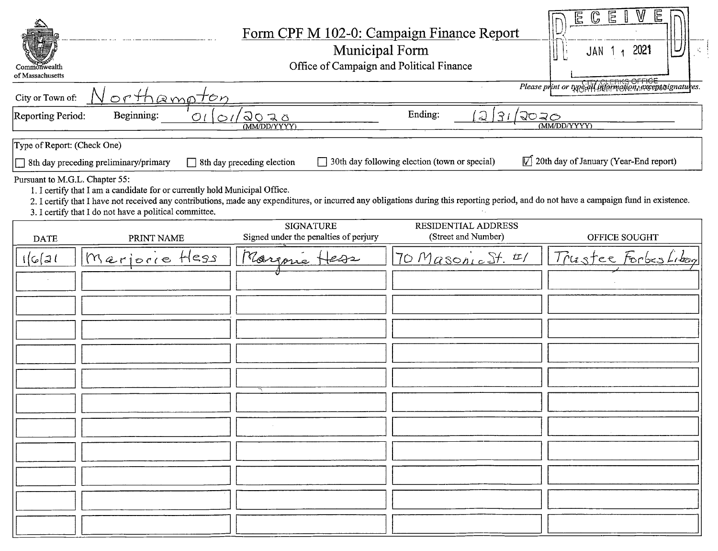| Commonwealth<br>of Massachusetts |                                                                                                                                      |                           |                                                           | Form CPF M 102-0: Campaign Finance Report<br>Municipal Form<br>Office of Campaign and Political Finance                                                                                 | $\mathbb{G}$<br>医儿<br>E<br>W<br>2021<br>∣∪<br>JAN<br>$\mathcal{I}^{\pi}_{\mathbf{a}}$ |  |  |
|----------------------------------|--------------------------------------------------------------------------------------------------------------------------------------|---------------------------|-----------------------------------------------------------|-----------------------------------------------------------------------------------------------------------------------------------------------------------------------------------------|---------------------------------------------------------------------------------------|--|--|
| City or Town of:                 | Please print or type all information, except signatures.<br>orthampton                                                               |                           |                                                           |                                                                                                                                                                                         |                                                                                       |  |  |
| <b>Reporting Period:</b>         | Beginning:                                                                                                                           | O <sub>l</sub><br>$\circ$ | 2020<br>(MM/DD/YYYY)                                      | Ending:<br>$\Omega$<br> 31                                                                                                                                                              | $\sqrt{20}$ ar<br>(MM/DD/YYYY)                                                        |  |  |
| Type of Report: (Check One)      |                                                                                                                                      |                           |                                                           |                                                                                                                                                                                         |                                                                                       |  |  |
|                                  | 8th day preceding preliminary/primary                                                                                                |                           | Sth day preceding election                                | 30th day following election (town or special)                                                                                                                                           | $\triangledown$ 20th day of January (Year-End report)                                 |  |  |
| Pursuant to M.G.L. Chapter 55:   | 1. I certify that I am a candidate for or currently hold Municipal Office.<br>3. I certify that I do not have a political committee. |                           |                                                           | 2. I certify that I have not received any contributions, made any expenditures, or incurred any obligations during this reporting period, and do not have a campaign fund in existence. |                                                                                       |  |  |
| <b>DATE</b>                      | PRINT NAME                                                                                                                           |                           | <b>SIGNATURE</b><br>Signed under the penalties of perjury | RESIDENTIAL ADDRESS<br>(Street and Number)                                                                                                                                              | OFFICE SOUGHT                                                                         |  |  |
| 1621                             | Marjorre Hess                                                                                                                        |                           | Margone                                                   | $70$ Masonic St. $4/$                                                                                                                                                                   | Trustee Forbes Library                                                                |  |  |
|                                  |                                                                                                                                      |                           |                                                           |                                                                                                                                                                                         |                                                                                       |  |  |
|                                  |                                                                                                                                      |                           |                                                           |                                                                                                                                                                                         |                                                                                       |  |  |
|                                  |                                                                                                                                      |                           |                                                           |                                                                                                                                                                                         |                                                                                       |  |  |
|                                  |                                                                                                                                      |                           |                                                           |                                                                                                                                                                                         |                                                                                       |  |  |
|                                  |                                                                                                                                      |                           |                                                           |                                                                                                                                                                                         |                                                                                       |  |  |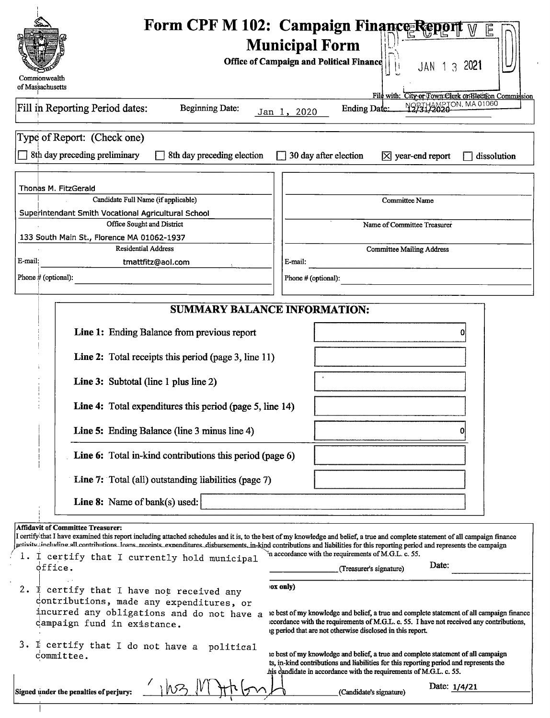|                                                              |                                                                                                    |          | Form CPF M 102: Campaign Finance Report<br><b>Municipal Form</b>                                                                                                                                                                                                                                                                                                |
|--------------------------------------------------------------|----------------------------------------------------------------------------------------------------|----------|-----------------------------------------------------------------------------------------------------------------------------------------------------------------------------------------------------------------------------------------------------------------------------------------------------------------------------------------------------------------|
|                                                              |                                                                                                    |          | <b>Office of Campaign and Political Finance</b><br>2021<br>$\mathcal{S}$<br>JAN 1                                                                                                                                                                                                                                                                               |
| Commonwealth<br>of Massachusetts                             |                                                                                                    |          |                                                                                                                                                                                                                                                                                                                                                                 |
| Fill in Reporting Period dates:                              | <b>Beginning Date:</b>                                                                             |          | File with: City or Town Clerk or Hiection Commission<br>NOFIHANS TON, MA 01060<br><b>Ending Date:</b><br>Jan 1, 2020                                                                                                                                                                                                                                            |
|                                                              |                                                                                                    |          |                                                                                                                                                                                                                                                                                                                                                                 |
| Type of Report: (Check one)<br>8th day preceding preliminary | 8th day preceding election                                                                         |          | 30 day after election<br>$\boxtimes$ year-end report<br>dissolution                                                                                                                                                                                                                                                                                             |
|                                                              |                                                                                                    |          |                                                                                                                                                                                                                                                                                                                                                                 |
| Thonas M. FitzGerald                                         |                                                                                                    |          |                                                                                                                                                                                                                                                                                                                                                                 |
|                                                              | Candidate Full Name (if applicable)                                                                |          | Committee Name                                                                                                                                                                                                                                                                                                                                                  |
|                                                              | Superintendant Smith Vocational Agricultural School<br>Office Sought and District                  |          | Name of Committee Treasurer                                                                                                                                                                                                                                                                                                                                     |
|                                                              | 133 South Main St., Florence MA 01062-1937                                                         |          |                                                                                                                                                                                                                                                                                                                                                                 |
| E-mail:                                                      | <b>Residential Address</b>                                                                         |          | <b>Committee Mailing Address</b>                                                                                                                                                                                                                                                                                                                                |
| Phone # (optional):                                          | tmattfitz@aol.com                                                                                  |          | E-mail:<br>Phone # (optional):                                                                                                                                                                                                                                                                                                                                  |
|                                                              |                                                                                                    |          |                                                                                                                                                                                                                                                                                                                                                                 |
|                                                              | <b>SUMMARY BALANCE INFORMATION:</b>                                                                |          |                                                                                                                                                                                                                                                                                                                                                                 |
|                                                              | Line 1: Ending Balance from previous report                                                        |          |                                                                                                                                                                                                                                                                                                                                                                 |
|                                                              | Line 2: Total receipts this period (page 3, line 11)                                               |          |                                                                                                                                                                                                                                                                                                                                                                 |
|                                                              | Line 3: Subtotal (line 1 plus line 2)                                                              |          |                                                                                                                                                                                                                                                                                                                                                                 |
|                                                              | Line 4: Total expenditures this period (page 5, line 14)                                           |          |                                                                                                                                                                                                                                                                                                                                                                 |
|                                                              | Line 5: Ending Balance (line 3 minus line 4)                                                       |          |                                                                                                                                                                                                                                                                                                                                                                 |
|                                                              | Line 6: Total in-kind contributions this period (page 6)                                           |          |                                                                                                                                                                                                                                                                                                                                                                 |
|                                                              | Line 7: Total (all) outstanding liabilities (page 7)                                               |          |                                                                                                                                                                                                                                                                                                                                                                 |
|                                                              | Line 8: Name of bank(s) used:                                                                      |          |                                                                                                                                                                                                                                                                                                                                                                 |
| <b>Affidavit of Committee Treasurer:</b>                     |                                                                                                    |          |                                                                                                                                                                                                                                                                                                                                                                 |
|                                                              |                                                                                                    |          | I certify that I have examined this report including attached schedules and it is, to the best of my knowledge and belief, a true and complete statement of all campaign finance<br>activity including all contributions loans receints expenditures disbursements, in-kind contributions and liabilities for this reporting period and represents the campaign |
| office.                                                      | 1. I certify that I currently hold municipal                                                       |          | in accordance with the requirements of M.G.L. c. 55.<br>Date:<br>(Treasurer's signature)                                                                                                                                                                                                                                                                        |
|                                                              |                                                                                                    | ox only) |                                                                                                                                                                                                                                                                                                                                                                 |
|                                                              | 2. $\overline{1}$ certify that I have not received any<br>contributions, made any expenditures, or |          |                                                                                                                                                                                                                                                                                                                                                                 |
|                                                              | incurred any obligations and do not have a<br>campaign fund in existance.                          |          | ie best of my knowledge and belief, a true and complete statement of all campaign finance<br>iccordance with the requirements of M.G.L. c. 55. I have not received any contributions,<br>ig period that are not otherwise disclosed in this report.                                                                                                             |
| committee.                                                   | 3. I certify that I do not have a<br>political                                                     |          | ie best of my knowledge and belief, a true and complete statement of all campaign<br>ts, in-kind contributions and liabilities for this reporting period and represents the<br>his candidate in accordance with the requirements of M.G.L. c. 55.                                                                                                               |
|                                                              |                                                                                                    |          |                                                                                                                                                                                                                                                                                                                                                                 |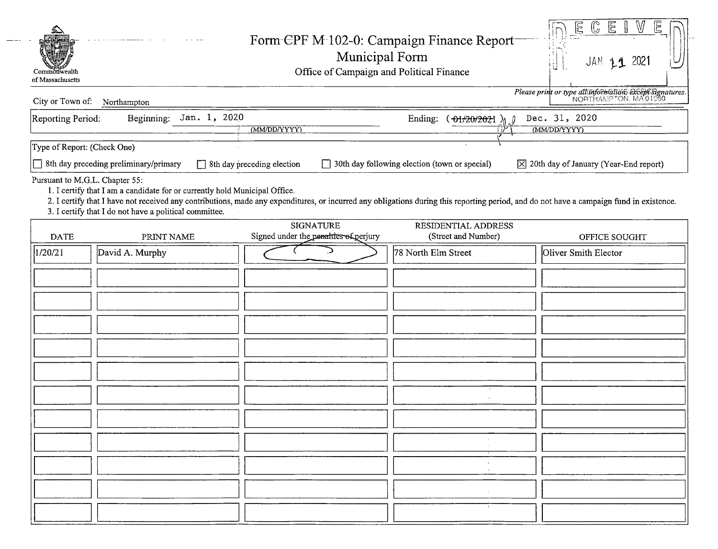| INECEIVEN<br>Form CPF M 102-0: Campaign Finance Report<br>$\mathcal{L}(\mathcal{L}(\mathcal{L},\mathcal{L},\mathcal{L},\mathcal{L},\mathcal{L},\mathcal{L},\mathcal{L},\mathcal{L},\mathcal{L},\mathcal{L},\mathcal{L},\mathcal{L},\mathcal{L},\mathcal{L},\mathcal{L},\mathcal{L},\mathcal{L},\mathcal{L},\mathcal{L},\mathcal{L},\mathcal{L},\mathcal{L},\mathcal{L},\mathcal{L},\mathcal{L},\mathcal{L},\mathcal{L},\mathcal{L},\mathcal{L},\mathcal{L},\mathcal{L},\mathcal{L},\mathcal{L},\mathcal{L},\mathcal{$<br>Municipal Form<br>Office of Campaign and Political Finance<br>$JAN$ $11$ 2021 |  |  |  |
|--------------------------------------------------------------------------------------------------------------------------------------------------------------------------------------------------------------------------------------------------------------------------------------------------------------------------------------------------------------------------------------------------------------------------------------------------------------------------------------------------------------------------------------------------------------------------------------------------------|--|--|--|
| Please print or type allimformation except signatures.<br>City or Town of: Northampton<br>Reporting Period: Beginning: $\frac{\text{Jan. 1, } 2020}{\text{Mar. 1}}$<br>Ending: $\frac{61}{202221}$ $\frac{0}{0}$ Dec. 31, 2020<br>$(MM)$ DD/YYYYY<br>and the contract of the contract of<br>Type of Report: (Check One)<br>8th day preceding preliminary/primary 58th day preceding election 530th day following election (town or special) 520th day of January (Year-End report)<br>Pursuant to M.G.L. Chapter 55:<br>1. I certify that I am a candidate for or currently hold Municipal Office.     |  |  |  |
| 2. I certify that I have not received any contributions, made any expenditures, or incurred any obligations during this reporting period, and do not have a campaign fund in existence.<br>3. I certify that I do not have a poli<br>RESIDENTIAL ADDRESS<br>(Street and Number)<br>SIGNATURE<br>DATE PRINT NAME Signed under the penalties of perjury<br>OFFICE SOUGHT<br>  78 North Elm Street<br>David A. Murphy<br>  Oliver Smith Elector<br>$\sim$ $\sim$ $\sim$ $\sim$<br>1/20/21<br>$\overbrace{\hspace{4.5cm}}^{2}$                                                                             |  |  |  |
|                                                                                                                                                                                                                                                                                                                                                                                                                                                                                                                                                                                                        |  |  |  |
| $\overline{\phantom{a}}$ , and the set of $\overline{\phantom{a}}$                                                                                                                                                                                                                                                                                                                                                                                                                                                                                                                                     |  |  |  |
|                                                                                                                                                                                                                                                                                                                                                                                                                                                                                                                                                                                                        |  |  |  |
|                                                                                                                                                                                                                                                                                                                                                                                                                                                                                                                                                                                                        |  |  |  |

 $\frac{1}{2}$  and  $\frac{1}{2}$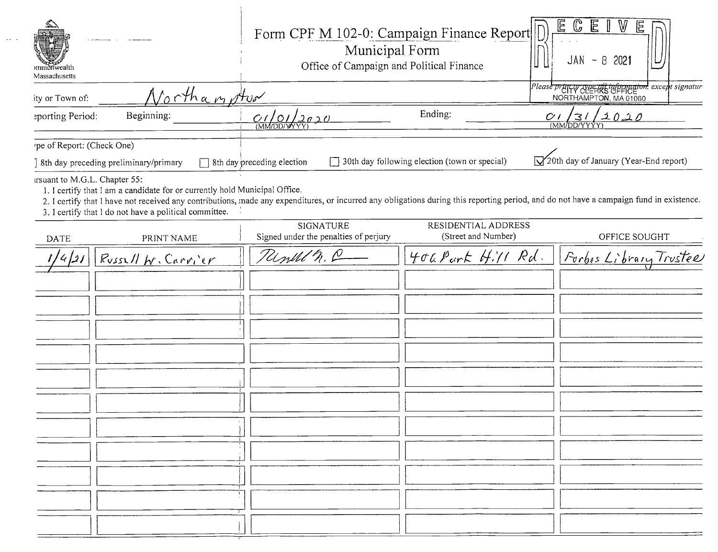| ommdnwealth<br>Massachusetts                                                                                                                                                                                                                                                                                                                                     | Form CPF M 102-0: Campaign Finance Report<br>Municipal Form<br>Office of Campaign and Political Finance |                                               | $\mathbb{G}$<br>E<br>V<br>目<br>E<br>JAN<br>2021<br>8<br>$\overline{\phantom{0}}$             |
|------------------------------------------------------------------------------------------------------------------------------------------------------------------------------------------------------------------------------------------------------------------------------------------------------------------------------------------------------------------|---------------------------------------------------------------------------------------------------------|-----------------------------------------------|----------------------------------------------------------------------------------------------|
| Northampton<br>ity or Town of:                                                                                                                                                                                                                                                                                                                                   |                                                                                                         |                                               | Please <del>prett &amp; celeral information</del> , except signatur<br>NORTHAMPTON, MA 01060 |
| Beginning:<br>eporting Period:                                                                                                                                                                                                                                                                                                                                   | C(101/2020)                                                                                             | Ending:                                       | $\frac{C}{(MM/DD/YYYY)}$<br>C/I                                                              |
| 'pe of Report: (Check One)<br>8th day preceding preliminary/primary                                                                                                                                                                                                                                                                                              | $\Box$ 8th day preceding election                                                                       | 30th day following election (town or special) | <b>V</b> 20th day of January (Year-End report)                                               |
| irsuant to M.G.L. Chapter 55:<br>1. I certify that I am a candidate for or currently hold Municipal Office.<br>2. I certify that I have not received any contributions, made any expenditures, or incurred any obligations during this reporting period, and do not have a campaign fund in existence.<br>3. I certify that I do not have a political committee. | <b>SIGNATURE</b>                                                                                        | RESIDENTIAL ADDRESS                           |                                                                                              |
| PRINT NAME<br>DATE                                                                                                                                                                                                                                                                                                                                               | Signed under the penalties of perjury                                                                   | (Street and Number)                           | OFFICE SOUGHT                                                                                |
| Russell W. Carvier                                                                                                                                                                                                                                                                                                                                               | Report n. C                                                                                             | 406 Park Hill Rd.                             | Forbes Library Trustee                                                                       |
|                                                                                                                                                                                                                                                                                                                                                                  |                                                                                                         |                                               |                                                                                              |
|                                                                                                                                                                                                                                                                                                                                                                  |                                                                                                         |                                               |                                                                                              |
|                                                                                                                                                                                                                                                                                                                                                                  |                                                                                                         |                                               |                                                                                              |
|                                                                                                                                                                                                                                                                                                                                                                  |                                                                                                         |                                               |                                                                                              |
|                                                                                                                                                                                                                                                                                                                                                                  |                                                                                                         |                                               |                                                                                              |
|                                                                                                                                                                                                                                                                                                                                                                  |                                                                                                         |                                               |                                                                                              |
|                                                                                                                                                                                                                                                                                                                                                                  |                                                                                                         |                                               |                                                                                              |
|                                                                                                                                                                                                                                                                                                                                                                  |                                                                                                         |                                               |                                                                                              |
|                                                                                                                                                                                                                                                                                                                                                                  |                                                                                                         |                                               |                                                                                              |
|                                                                                                                                                                                                                                                                                                                                                                  |                                                                                                         |                                               |                                                                                              |
|                                                                                                                                                                                                                                                                                                                                                                  |                                                                                                         |                                               |                                                                                              |
|                                                                                                                                                                                                                                                                                                                                                                  |                                                                                                         |                                               |                                                                                              |

 $\sim$  -  $\sim$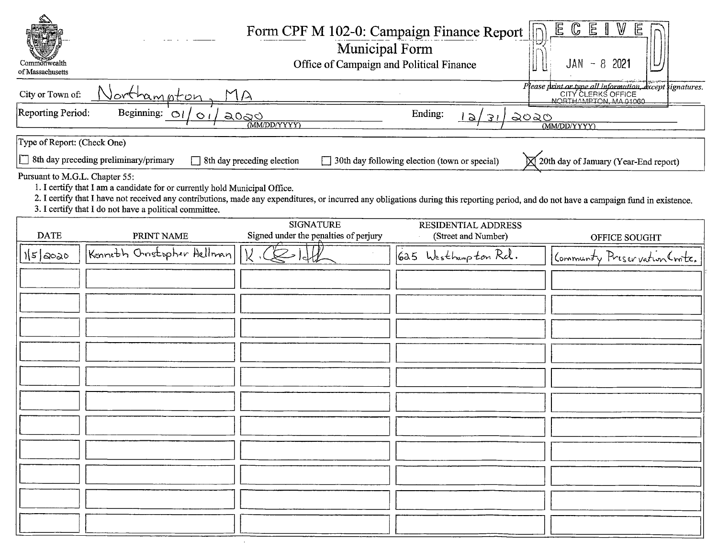| Commonwealth<br>of Massachusetts                                                                                                                                                                                                                                                                                                                                  | Form CPF M 102-0: Campaign Finance Report<br>Municipal Form<br>Office of Campaign and Political Finance |                                               | $\mathbb{E}$<br>C<br>匠<br>2021<br>-8<br>JAN<br>$\overline{\phantom{a}}$        |
|-------------------------------------------------------------------------------------------------------------------------------------------------------------------------------------------------------------------------------------------------------------------------------------------------------------------------------------------------------------------|---------------------------------------------------------------------------------------------------------|-----------------------------------------------|--------------------------------------------------------------------------------|
| City or Town of:<br>Jorthampton                                                                                                                                                                                                                                                                                                                                   | $\Delta$                                                                                                |                                               | Please print or type all information, except signatures.<br>CITY CLERKS OFFICE |
| Reporting Period:<br>Beginning: $O\left(\frac{1}{2}\right)$<br>$\circ$                                                                                                                                                                                                                                                                                            | <u>a0ao</u><br>(MM/DD/YYYY)                                                                             | Ending:<br><u>ಎಂಎಂ</u><br><u>  2</u><br>31    | (MM/DD/YYYY)                                                                   |
| Type of Report: (Check One)                                                                                                                                                                                                                                                                                                                                       |                                                                                                         |                                               |                                                                                |
| $\Box$ 8th day preceding preliminary/primary                                                                                                                                                                                                                                                                                                                      | Sth day preceding election                                                                              | 30th day following election (town or special) | 20th day of January (Year-End report)                                          |
| Pursuant to M.G.L. Chapter 55:<br>1. I certify that I am a candidate for or currently hold Municipal Office.<br>2. I certify that I have not received any contributions, made any expenditures, or incurred any obligations during this reporting period, and do not have a campaign fund in existence.<br>3. I certify that I do not have a political committee. |                                                                                                         |                                               |                                                                                |
| <b>DATE</b><br>PRINT NAME                                                                                                                                                                                                                                                                                                                                         | <b>SIGNATURE</b><br>Signed under the penalties of perjury                                               | RESIDENTIAL ADDRESS<br>(Street and Number)    | OFFICE SOUGHT                                                                  |
| Kenneth Oristopher Hellman<br>$15$ 2020                                                                                                                                                                                                                                                                                                                           |                                                                                                         | 625 Westbampton Rd.                           | Community Preservation Crote.                                                  |
|                                                                                                                                                                                                                                                                                                                                                                   |                                                                                                         |                                               |                                                                                |
|                                                                                                                                                                                                                                                                                                                                                                   |                                                                                                         |                                               |                                                                                |
|                                                                                                                                                                                                                                                                                                                                                                   |                                                                                                         |                                               |                                                                                |
|                                                                                                                                                                                                                                                                                                                                                                   |                                                                                                         |                                               |                                                                                |
|                                                                                                                                                                                                                                                                                                                                                                   |                                                                                                         |                                               |                                                                                |
|                                                                                                                                                                                                                                                                                                                                                                   |                                                                                                         |                                               |                                                                                |
|                                                                                                                                                                                                                                                                                                                                                                   |                                                                                                         |                                               |                                                                                |
|                                                                                                                                                                                                                                                                                                                                                                   |                                                                                                         |                                               |                                                                                |
|                                                                                                                                                                                                                                                                                                                                                                   |                                                                                                         |                                               |                                                                                |
|                                                                                                                                                                                                                                                                                                                                                                   |                                                                                                         |                                               |                                                                                |
|                                                                                                                                                                                                                                                                                                                                                                   |                                                                                                         |                                               |                                                                                |
|                                                                                                                                                                                                                                                                                                                                                                   |                                                                                                         |                                               |                                                                                |
|                                                                                                                                                                                                                                                                                                                                                                   |                                                                                                         |                                               |                                                                                |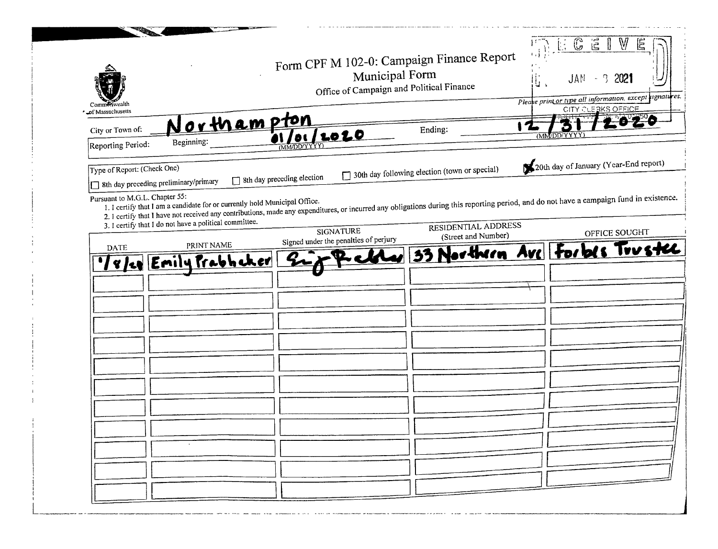| Commenwer<br>of Massachusetts                                                                          |                                                        | Form CPF M 102-0: Campaign Finance Report<br>Municipal Form<br>Office of Campaign and Political Finance |                                               | V<br>C E<br>E<br>$JAN - 32021$<br>Ùι<br>Pleake print or type all information, except rignatures.<br>CITY CLERKS OFFICE                                                                                   |
|--------------------------------------------------------------------------------------------------------|--------------------------------------------------------|---------------------------------------------------------------------------------------------------------|-----------------------------------------------|----------------------------------------------------------------------------------------------------------------------------------------------------------------------------------------------------------|
| City or Town of:                                                                                       | Northampton                                            |                                                                                                         | Ending:                                       |                                                                                                                                                                                                          |
| Reporting Period:                                                                                      | Beginning:                                             | <u> 2020</u><br><b>DL</b><br><b>IDD/YYYY</b>                                                            |                                               | <b>MMDD/YYYY</b>                                                                                                                                                                                         |
| Type of Report: (Check One)<br>8th day preceding preliminary/primary<br>Pursuant to M.G.L. Chapter 55: |                                                        | 8th day preceding election                                                                              | 30th day following election (town or special) | 20th day of January (Year-End report)                                                                                                                                                                    |
|                                                                                                        | 3. I certify that I do not have a political committee. | <b>SIGNATURE</b><br>Signed under the penalties of perjury                                               | RESIDENTIAL ADDRESS<br>(Street and Number)    | 2. I certify that I have not received any contributions, made any expenditures, or incurred any obligations during this reporting period, and do not have a campaign fund in existence.<br>OFFICE SOUGHT |
| <b>DATE</b>                                                                                            | PRINT NAME<br>'/ 8/20 Emily Prabhaker                  |                                                                                                         |                                               | 33 Northern Ave Forbes Trustee                                                                                                                                                                           |
|                                                                                                        |                                                        |                                                                                                         |                                               |                                                                                                                                                                                                          |
|                                                                                                        |                                                        |                                                                                                         |                                               |                                                                                                                                                                                                          |
|                                                                                                        |                                                        |                                                                                                         |                                               |                                                                                                                                                                                                          |
|                                                                                                        |                                                        |                                                                                                         |                                               |                                                                                                                                                                                                          |
|                                                                                                        |                                                        |                                                                                                         |                                               |                                                                                                                                                                                                          |
|                                                                                                        |                                                        |                                                                                                         |                                               |                                                                                                                                                                                                          |
|                                                                                                        |                                                        |                                                                                                         |                                               |                                                                                                                                                                                                          |
|                                                                                                        |                                                        |                                                                                                         |                                               |                                                                                                                                                                                                          |
|                                                                                                        |                                                        |                                                                                                         |                                               |                                                                                                                                                                                                          |
|                                                                                                        |                                                        |                                                                                                         |                                               |                                                                                                                                                                                                          |
|                                                                                                        |                                                        |                                                                                                         |                                               |                                                                                                                                                                                                          |

.<br>An above the proposition of the contract of the contract of the contract of the contract of the contract of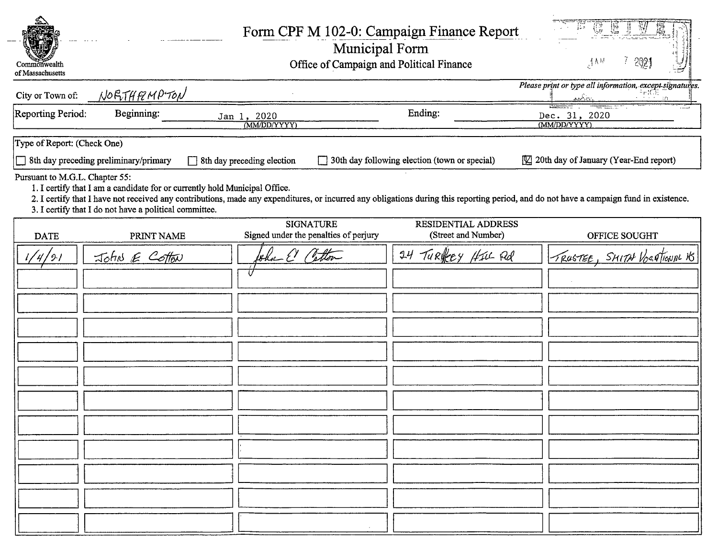| Commonwealth<br>of Massachusetts |                                                                                                                                      |                                                           | Form CPF M 102-0: Campaign Finance Report<br>Municipal Form<br>Office of Campaign and Political Finance | 202<br>$3_{\rm V}$                                                                                                                                                                      |
|----------------------------------|--------------------------------------------------------------------------------------------------------------------------------------|-----------------------------------------------------------|---------------------------------------------------------------------------------------------------------|-----------------------------------------------------------------------------------------------------------------------------------------------------------------------------------------|
| City or Town of:                 | NORTHEMPTON                                                                                                                          |                                                           |                                                                                                         | Please print or type all information, except signatures.<br>$\frac{1}{\sqrt{2\pi}}$                                                                                                     |
| Reporting Period:                | Beginning:                                                                                                                           | Jan 1, 2020<br>(MM/DD/YYYY)                               | Ending:                                                                                                 | Dec. 31, 2020<br>(MM/DD/YYYY)                                                                                                                                                           |
| Type of Report: (Check One)      |                                                                                                                                      |                                                           |                                                                                                         |                                                                                                                                                                                         |
|                                  | $\Box$ 8th day preceding preliminary/primary                                                                                         | 8th day preceding election                                | 30th day following election (town or special)                                                           | [V] 20th day of January (Year-End report)                                                                                                                                               |
| Pursuant to M.G.L. Chapter 55:   | 1. I certify that I am a candidate for or currently hold Municipal Office.<br>3. I certify that I do not have a political committee. |                                                           |                                                                                                         | 2. I certify that I have not received any contributions, made any expenditures, or incurred any obligations during this reporting period, and do not have a campaign fund in existence. |
| <b>DATE</b>                      | PRINT NAME                                                                                                                           | <b>SIGNATURE</b><br>Signed under the penalties of perjury | RESIDENTIAL ADDRESS<br>(Street and Number)                                                              | OFFICE SOUGHT                                                                                                                                                                           |
| 121                              | John E Cotton                                                                                                                        | show El Cotton                                            | TURREY HILL Rd<br>24                                                                                    | TRUSTEE, SMITH VOCATIONAL VS                                                                                                                                                            |
|                                  |                                                                                                                                      |                                                           |                                                                                                         |                                                                                                                                                                                         |

 $\overline{a}$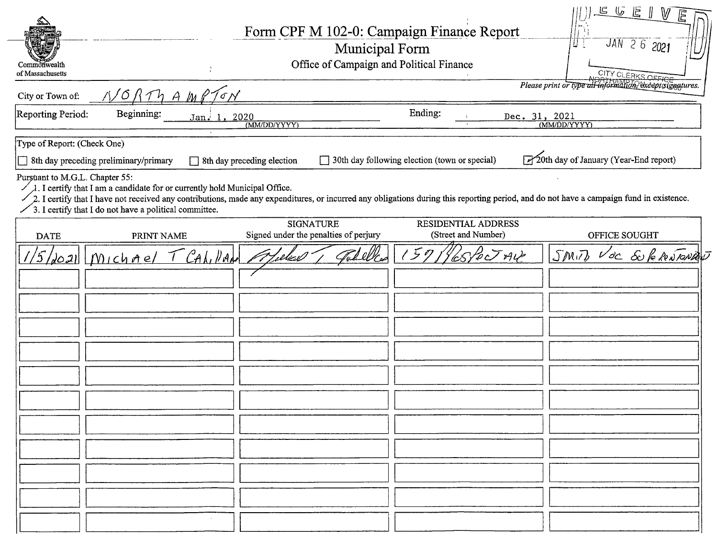| Commonwealth<br>of Massachusetts                                                                                                                                                                                                                                                                                                                                           |                                                                                                    |                            |                                                           | Municipal Form<br>Office of Campaign and Political Finance | Form CPF M 102-0: Campaign Finance Report     |  | ד<br>נדע | 旦じ<br>E<br>$JAN$ 2 6 2021<br>CITY CLERKS OFFICE          |  |
|----------------------------------------------------------------------------------------------------------------------------------------------------------------------------------------------------------------------------------------------------------------------------------------------------------------------------------------------------------------------------|----------------------------------------------------------------------------------------------------|----------------------------|-----------------------------------------------------------|------------------------------------------------------------|-----------------------------------------------|--|----------|----------------------------------------------------------|--|
| City or Town of:                                                                                                                                                                                                                                                                                                                                                           | N/6RThAMPT                                                                                         |                            |                                                           |                                                            |                                               |  |          | Please print or type all information, except signatures. |  |
| Reporting Period:                                                                                                                                                                                                                                                                                                                                                          | Ending:<br>Beginning:<br>Dec. 31, 2021<br>Jan. 1, 2020<br>$(MM\overline{D}D/YYYY)$<br>(MM/DD/YYYY) |                            |                                                           |                                                            |                                               |  |          |                                                          |  |
| Type of Report: (Check One)                                                                                                                                                                                                                                                                                                                                                |                                                                                                    |                            |                                                           |                                                            |                                               |  |          |                                                          |  |
| Sth day preceding preliminary/primary                                                                                                                                                                                                                                                                                                                                      |                                                                                                    | 8th day preceding election |                                                           |                                                            | 30th day following election (town or special) |  |          | 20th day of January (Year-End report)                    |  |
| Pursuant to M.G.L. Chapter 55:<br>$\lambda$ . I certify that I am a candidate for or currently hold Municipal Office.<br>2. I certify that I have not received any contributions, made any expenditures, or incurred any obligations during this reporting period, and do not have a campaign fund in existence.<br>3. I certify that I do not have a political committee. |                                                                                                    |                            |                                                           |                                                            |                                               |  |          |                                                          |  |
| <b>DATE</b>                                                                                                                                                                                                                                                                                                                                                                | PRINT NAME                                                                                         |                            | <b>SIGNATURE</b><br>Signed under the penalties of perjury |                                                            | RESIDENTIAL ADDRESS<br>(Street and Number)    |  |          | OFFICE SOUGHT                                            |  |
| $\sqrt{5/\omega}$ all $[m]$ chael                                                                                                                                                                                                                                                                                                                                          |                                                                                                    | CAL, Van                   |                                                           |                                                            | 1571 Rosport AV                               |  |          | SMIT, Voc SUPRONANT                                      |  |
|                                                                                                                                                                                                                                                                                                                                                                            |                                                                                                    |                            |                                                           |                                                            |                                               |  |          |                                                          |  |
|                                                                                                                                                                                                                                                                                                                                                                            |                                                                                                    |                            |                                                           |                                                            |                                               |  |          |                                                          |  |
|                                                                                                                                                                                                                                                                                                                                                                            |                                                                                                    |                            |                                                           |                                                            |                                               |  |          |                                                          |  |
|                                                                                                                                                                                                                                                                                                                                                                            |                                                                                                    |                            |                                                           |                                                            |                                               |  |          |                                                          |  |
|                                                                                                                                                                                                                                                                                                                                                                            |                                                                                                    |                            |                                                           |                                                            |                                               |  |          |                                                          |  |
|                                                                                                                                                                                                                                                                                                                                                                            |                                                                                                    |                            |                                                           |                                                            |                                               |  |          |                                                          |  |
|                                                                                                                                                                                                                                                                                                                                                                            |                                                                                                    |                            |                                                           |                                                            |                                               |  |          |                                                          |  |
|                                                                                                                                                                                                                                                                                                                                                                            |                                                                                                    |                            |                                                           |                                                            |                                               |  |          |                                                          |  |
|                                                                                                                                                                                                                                                                                                                                                                            |                                                                                                    |                            |                                                           |                                                            |                                               |  |          |                                                          |  |
|                                                                                                                                                                                                                                                                                                                                                                            |                                                                                                    |                            |                                                           |                                                            |                                               |  |          |                                                          |  |
|                                                                                                                                                                                                                                                                                                                                                                            |                                                                                                    |                            |                                                           |                                                            |                                               |  |          |                                                          |  |
|                                                                                                                                                                                                                                                                                                                                                                            |                                                                                                    |                            |                                                           |                                                            |                                               |  |          |                                                          |  |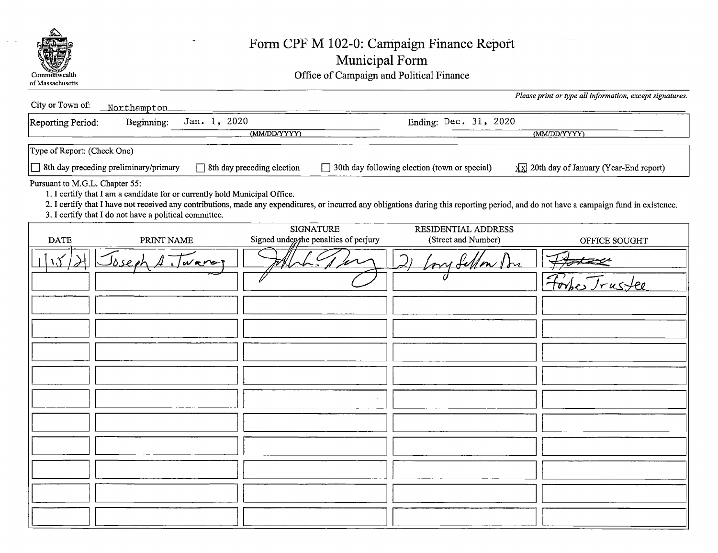

## Form CPF M 102-0: Campaign Finance Report

|  |  |  | Municipal Form |
|--|--|--|----------------|
|  |  |  |                |

Commonwealth Commonwealth Common Common Common Common Common Common Common Common Common Common Common Common Common Common Common Common Common Common Common Common Common Common Common Common Common Common Common Common

| City or Town of:               | Northampton                                                                                                                          |                                                                                                                                                                                         |                                               | Please print or type all information, except signatures. |
|--------------------------------|--------------------------------------------------------------------------------------------------------------------------------------|-----------------------------------------------------------------------------------------------------------------------------------------------------------------------------------------|-----------------------------------------------|----------------------------------------------------------|
| Reporting Period:              | Jan. 1, 2020<br>Beginning:                                                                                                           |                                                                                                                                                                                         | Ending: Dec. 31, 2020                         |                                                          |
|                                |                                                                                                                                      | (MM/DD/YYYY)                                                                                                                                                                            |                                               | (MM/DD/YYYY)                                             |
| Type of Report: (Check One)    |                                                                                                                                      |                                                                                                                                                                                         |                                               |                                                          |
|                                | 8th day preceding preliminary/primary                                                                                                | 8th day preceding election                                                                                                                                                              | 30th day following election (town or special) | $\overline{XX}$ 20th day of January (Year-End report)    |
| Pursuant to M.G.L. Chapter 55: | 1. I certify that I am a candidate for or currently hold Municipal Office.<br>3. I certify that I do not have a political committee. | 2. I certify that I have not received any contributions, made any expenditures, or incurred any obligations during this reporting period, and do not have a campaign fund in existence. |                                               |                                                          |
| <b>DATE</b>                    | PRINT NAME                                                                                                                           | <b>SIGNATURE</b><br>Signed under the penalties of perjury                                                                                                                               | RESIDENTIAL ADDRESS<br>(Street and Number)    | OFFICE SOUGHT                                            |
|                                | So se et<br>ware                                                                                                                     |                                                                                                                                                                                         | fellow Dr                                     |                                                          |
|                                |                                                                                                                                      |                                                                                                                                                                                         |                                               | Trustee                                                  |
|                                |                                                                                                                                      |                                                                                                                                                                                         |                                               |                                                          |
|                                |                                                                                                                                      |                                                                                                                                                                                         |                                               |                                                          |
|                                |                                                                                                                                      |                                                                                                                                                                                         |                                               |                                                          |
|                                |                                                                                                                                      |                                                                                                                                                                                         |                                               |                                                          |
|                                |                                                                                                                                      |                                                                                                                                                                                         |                                               |                                                          |
|                                |                                                                                                                                      |                                                                                                                                                                                         |                                               |                                                          |
|                                |                                                                                                                                      |                                                                                                                                                                                         |                                               |                                                          |
|                                |                                                                                                                                      |                                                                                                                                                                                         |                                               |                                                          |
|                                |                                                                                                                                      |                                                                                                                                                                                         |                                               |                                                          |
|                                |                                                                                                                                      |                                                                                                                                                                                         |                                               |                                                          |